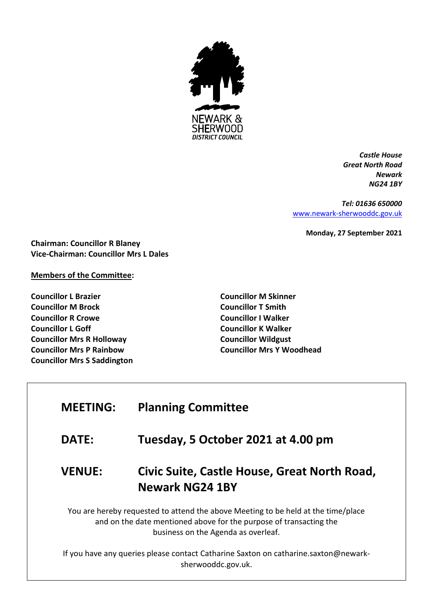

*Castle House Great North Road Newark NG24 1BY*

*Tel: 01636 650000* [www.newark-sherwooddc.gov.uk](http://www.newark-sherwooddc.gov.uk/)

**Monday, 27 September 2021**

**Chairman: Councillor R Blaney Vice-Chairman: Councillor Mrs L Dales**

## **Members of the Committee:**

**Councillor L Brazier Councillor M Brock Councillor R Crowe Councillor L Goff Councillor Mrs R Holloway Councillor Mrs P Rainbow Councillor Mrs S Saddington** **Councillor M Skinner Councillor T Smith Councillor I Walker Councillor K Walker Councillor Wildgust Councillor Mrs Y Woodhead**

## **MEETING: Planning Committee**

**DATE: Tuesday, 5 October 2021 at 4.00 pm**

## **VENUE: Civic Suite, Castle House, Great North Road, Newark NG24 1BY**

You are hereby requested to attend the above Meeting to be held at the time/place and on the date mentioned above for the purpose of transacting the business on the Agenda as overleaf.

If you have any queries please contact Catharine Saxton on catharine.saxton@newarksherwooddc.gov.uk.